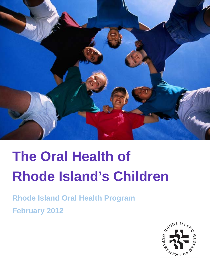

# **The Oral Health of Rhode Island's Children**

**Rhode Island Oral Health Program February 2012**

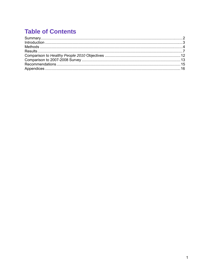# **Table of Contents**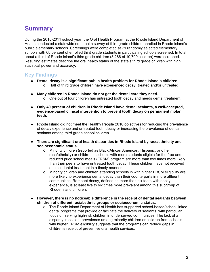# <span id="page-2-0"></span>**Summary**

During the 2010-2011 school year, the Oral Health Program at the Rhode Island Department of Health conducted a statewide oral health survey of third grade children enrolled in Rhode Island's public elementary schools. Screenings were completed at 79 randomly selected elementary schools with 68 percent of enrolled third grade students in participating schools screened. In total, about a third of Rhode Island's third grade children (3,266 of 10,709 children) were screened. Resulting estimates describe the oral health status of the state's third grade children with high statistical power and accuracy.

# **Key Findings**

- **Dental decay is a significant public health problem for Rhode Island's children.**   $\circ$  Half of third grade children have experienced decay (treated and/or untreated).
- **Many children in Rhode Island do not get the dental care they need.**   $\circ$  One out of four children has untreated tooth decay and needs dental treatment.
- **Only 40 percent of children in Rhode Island have dental sealants, a well-accepted, evidence-based clinical intervention to prevent tooth decay on permanent molar teeth.**
- Rhode Island did not meet the Healthy People 2010 objectives for reducing the prevalence of decay experience and untreated tooth decay or increasing the prevalence of dental sealants among third grade school children.
- **There are significant oral health disparities in Rhode Island by race/ethnicity and socioeconomic status.** 
	- o Minority children (reported as Black/African American, Hispanic, or other race/ethnicity) or children in schools with more students eligible for the free and reduced price school meals (FRSM) program are more than two times more likely than their peers to have untreated tooth decay. These children have not received optimal dental treatment in a timely manner.
	- $\circ$  Minority children and children attending schools in with higher FRSM eligibility are more likely to experience dental decay than their counterparts in more affluent communities. Rampant decay, defined as more than six teeth with decay experience, is at least five to six times more prevalent among this subgroup of Rhode Island children.
- **However, there is no noticeable difference in the receipt of dental sealants between children of different racial/ethnic groups or socioeconomic status.** 
	- o The Rhode Island Department of Health has supported school-based/school linked dental programs that provide or facilitate the delivery of sealants, with particular focus on serving high-risk children in underserved communities. The lack of a disparity in sealant prevalence among minority children or children from schools with higher FRSM eligibility suggests that the programs can reduce gaps in children's receipt of preventive oral health services.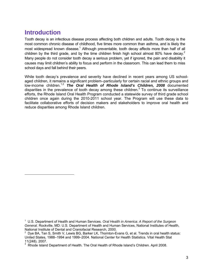# <span id="page-3-0"></span>**Introduction**

 $\overline{a}$ 

<span id="page-3-2"></span><span id="page-3-1"></span>Tooth decay is an infectious disease process affecting both children and adults. Tooth decay is the most common chronic disease of childhood, five times more common than asthma, and is likely the most widespread known disease.<sup>[1](#page-3-3)</sup> Although preventable, tooth decay affects more than half of all children by the third grade, and by the time children finish high school almost 80% have decay.<sup>2</sup> Many people do not consider tooth decay a serious problem, yet if ignored, the pain and disability it causes may limit children's ability to focus and perform in the classroom. This can lead them to miss school days and fall behind their peers.

While tooth decay's prevalence and severity have declined in recent years among US schoolaged children, it remains a significant problem–particularly for certain racial and ethnic groups and low-income children.[1,](#page-3-1)[2](#page-3-2) *The Oral Health of Rhode Island's Children, 2008* documented disparities in the prevalence of tooth decay among these children.<sup>3</sup> To continue its surveillance efforts, the Rhode Island Oral Health Program conducted a statewide survey of third grade school children once again during the 2010-2011 school year. The Program will use these data to facilitate collaborative efforts of decision makers and stakeholders to improve oral health and reduce disparities among Rhode Island children.

<span id="page-3-3"></span><sup>1</sup> U.S. Department of Health and Human Services. *Oral Health in America: A Report of the Surgeon General*. Rockville, MD: U.S. Department of Health and Human Services, National Institutes of Health, National Institute of Dental and Craniofacial Research, 2000.

<span id="page-3-4"></span> $2$  Dye BA, Tan S, Smith V, Lewis BG, Barker LK, Thornton-Evans G, et al. Trends in oral health status: United States, 1988–1994 and 1999–2004. National Center for Health Statistics. Vital Health Stat 11(248). 2007.<br><sup>3</sup>. Phode Island

<span id="page-3-5"></span>Rhode Island Department of Health. The Oral Health of Rhode Island's Children. April 2008.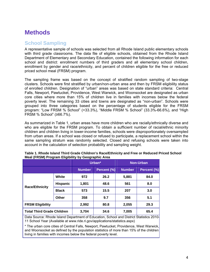# <span id="page-4-0"></span>**Methods**

### **School Sampling**

A representative sample of schools was selected from all Rhode Island public elementary schools with third grade classrooms. The data file of eligible schools, obtained from the Rhode Island Department of Elementary and Secondary Education, contained the following information for each school and district: enrollment numbers of third graders and all elementary school children, enrollment by gender and race/ethnicity, and percent of children eligible for the free or reduced priced school meal (FRSM) program.

The sampling frame was based on the concept of stratified random sampling of two-stage clusters. Schools were first stratified by urban/non-urban area and then by FRSM eligibility status of enrolled children. Designation of "urban" areas was based on state standard criteria: Central Falls, Newport, Pawtucket, Providence, West Warwick, and Woonsocket are designated as urban core cities where more than 15% of children live in families with incomes below the federal poverty level. The remaining 33 cities and towns are designated as "non-urban". Schools were grouped into three categories based on the percentage of students eligible for the FRSM program: "Low FRSM % School" (<33.3%), "Middle FRSM % School" (33.3%-66.6%), and "High FRSM % School" (≥66.7%).

As summarized in Table 1, urban areas have more children who are racially/ethnically diverse and who are eligible for the FRSM program. To obtain a sufficient number of racial/ethnic minority children and children living in lower-income families, schools were disproportionately oversampled from urban areas. If a school was closed or refused to participate, a replacement school within the same sampling stratum was randomly selected. Closed and refusing schools were taken into account in the calculation of selection probability and sampling weight.

|                                   |                 | Urban*        |             |               | <b>Non-Urban</b> |
|-----------------------------------|-----------------|---------------|-------------|---------------|------------------|
|                                   |                 | <b>Number</b> | Percent (%) | <b>Number</b> | Percent (%)      |
|                                   | White           | 972           | 26.2        | 5,881         | 84.0             |
| <b>Race/Ethnicity</b>             | <b>Hispanic</b> | 1,801         | 48.6        | 561           | 8.0              |
|                                   | <b>Black</b>    | 573           | 15.5        | 207           | 3.0              |
|                                   | Other           | 358           | 9.7         | 356           | 5.1              |
| <b>FRSM Eligibility</b>           |                 | 2,992         | 80.8        | 2,055         | 29.3             |
| <b>Total Third Grade Children</b> |                 | 3,704         | 34.6        | 7,005         | 65.4             |

| Table 1. Rhode Island Third Grade Children's Race/Ethnicity and Free or Reduced Priced School |  |
|-----------------------------------------------------------------------------------------------|--|
| Meal (FRSM) Program Eligibility by Geographic Area                                            |  |

Data Source: Rhode Island Department of Education, School and District Statistics 2010– 11 School Year (Available at www.ride.ri.gov/applications/statistics.aspx)

\* The urban core cities of Central Falls, Newport, Pawtucket, Providence, West Warwick, and Woonsocket as defined by the population statistics of more than 15% of the children living in families with incomes below the federal poverty level.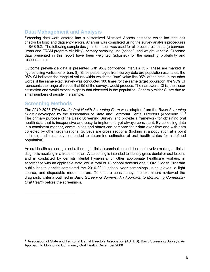# **Data Management and Analysis**

Screening data were entered into a customized Microsoft Access database which included edit checks for logic and data entry errors. Analysis was completed using the survey analysis procedures in SAS 9.2. The following sample design information was used for all procedures: strata (urban/nonurban and FRSM program eligibility), primary sampling unit (school), and weight variable. Outcome data presented in this report have been weighted (adjusted) for the sampling probability and response rate.

Outcome prevalence data is presented with 95% confidence intervals (CI). These are marked in figures using vertical error bars (I). Since percentages from survey data are population estimates, the 95% CI indicates the range of values within which the "true" value lies 95% of the time. In the other words, if the same exact survey was conducted 100 times for the same target population, the 95% CI represents the range of values that 95 of the surveys would produce. The narrower a CI is, the closer estimation one would expect to get to that observed in the population. Generally wider CI are due to small numbers of people in a sample.

### **Screening Methods**

The *2010-2011 Third Grade Oral Health Screening Form* was adapted from the *Basic Screening* Survev developed by the Association of State and Territorial Dental Directors (Appendix C).<sup>[4](#page-5-0)</sup> The primary purpose of the Basic Screening Survey is to provide a framework for obtaining oral health data that is inexpensive and easy to implement, yet always consistent. By collecting data in a consistent manner, communities and states can compare their data over time and with data collected by other organizations. Surveys are cross sectional (looking at a population at a point in time), and descriptive (intended to determine estimates of oral health status for a defined population).

An oral health screening is not a thorough clinical examination and does not involve making a clinical diagnosis resulting in a treatment plan. A screening is intended to identify gross dental or oral lesions and is conducted by dentists, dental hygienists, or other appropriate healthcare workers, in accordance with an applicable state law. A total of 18 school dentists and 1 Oral Health Program public health dentist completed the 2010-2011 school year screenings using gloves, a light source, and disposable mouth mirrors. To ensure consistency, the examiners reviewed the diagnostic criteria outlined in *Basic Screening Surveys: An Approach to Monitoring Community Oral Health* before the screenings.

<span id="page-5-0"></span><sup>&</sup>lt;sup>4</sup> Association of State and Territorial Dental Directors Association (ASTDD). Basic Screening Surveys: An Approach to Monitoring Community Oral Health. December 2008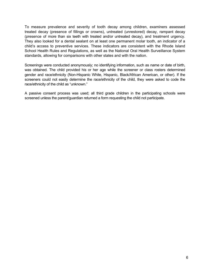To measure prevalence and severity of tooth decay among children, examiners assessed treated decay (presence of fillings or crowns), untreated (unrestored) decay, rampant decay (presence of more than six teeth with treated and/or untreated decay), and treatment urgency. They also looked for a dental sealant on at least one permanent molar tooth, an indicator of a child's access to preventive services. These indicators are consistent with the Rhode Island School Health Rules and Regulations, as well as the National Oral Health Surveillance System standards, allowing for comparisons with other states and with the nation.

Screenings were conducted anonymously; no identifying information, such as name or date of birth, was obtained. The child provided his or her age while the screener or class rosters determined gender and race/ethnicity (Non-Hispanic White, Hispanic, Black/African American, or other). If the screeners could not easily determine the race/ethnicity of the child, they were asked to code the race/ethnicity of the child as "unknown."

A passive consent process was used; all third grade children in the participating schools were screened unless the parent/guardian returned a form requesting the child not participate.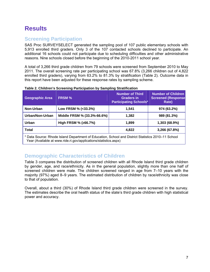# <span id="page-7-0"></span>**Results**

# **Screening Participation**

SAS Proc SURVEYSELECT generated the sampling pool of 107 public elementary schools with 5,913 enrolled third graders. Only 3 of the 107 contacted schools declined to participate. An additional 16 schools could not participate due to scheduling difficulties and other administrative reasons. Nine schools closed before the beginning of the 2010-2011 school year.

A total of 3,266 third grade children from 79 schools were screened from September 2010 to May 2011. The overall screening rate per participating school was 67.8% (3,266 children out of 4,822 enrolled third graders), varying from 63.2% to 81.3% by stratification (Table 2). Outcome data in this report have been adjusted for these response rates by sampling scheme.

| <b>Geographic Area</b>                                                                                                                                                 | <b>FRSM %</b>               | <b>Number of Third</b><br><b>Graders in</b><br><b>Participating Schools*</b> | <b>Number of Children</b><br><b>Screened (Response)</b><br>Rate) |  |
|------------------------------------------------------------------------------------------------------------------------------------------------------------------------|-----------------------------|------------------------------------------------------------------------------|------------------------------------------------------------------|--|
| Non-Urban                                                                                                                                                              | Low FRSM % (<33.3%)         | 1.541                                                                        | 974 (63.2%)                                                      |  |
| Urban/Non-Urban                                                                                                                                                        | Middle FRSM % (33.3%-66.6%) | 1,382                                                                        | 989 (81.3%)                                                      |  |
| High FRSM % ( $\geq 66.7\%$ )<br>Urban                                                                                                                                 |                             | 1.899                                                                        | 1,303 (68.9%)                                                    |  |
| <b>Total</b><br>3,266 (67.8%)<br>4,822                                                                                                                                 |                             |                                                                              |                                                                  |  |
| * Data Source: Rhode Island Department of Education, School and District Statistics 2010–11 School<br>Year (Available at www.ride.ri.gov/applications/statistics.aspx) |                             |                                                                              |                                                                  |  |

**Table 2. Children's Screening Participation by Sampling Stratification** 

# **Demographic Characteristics of Children**

Table 3 compares the distribution of screened children with all Rhode Island third grade children by gender, age, and race/ethnicity. As in the general population, slightly more than one half of screened children were male. The children screened ranged in age from 7–10 years with the majority (97%) aged 8–9 years. The estimated distribution of children by race/ethnicity was close to that of population.

Overall, about a third (30%) of Rhode Island third grade children were screened in the survey. The estimates describe the oral health status of the state's third grade children with high statistical power and accuracy.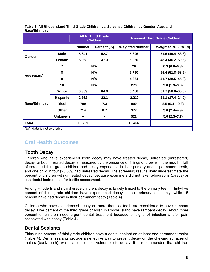|                            |                         | <b>All RI Third Grade</b><br><b>Children</b> |             | <b>Screened Third Grade Children</b> |                     |
|----------------------------|-------------------------|----------------------------------------------|-------------|--------------------------------------|---------------------|
|                            |                         | <b>Number</b>                                | Percent (%) | <b>Weighted Number</b>               | Weighted % (95% CI) |
| Gender                     | <b>Male</b>             | 5,641                                        | 52.7        | 5,396                                | 51.6 (49.4 - 53.8)  |
|                            | <b>Female</b>           | 5,068                                        | 47.3        | 5,060                                | 48.4 (46.2-50.6)    |
|                            | $\overline{\mathbf{z}}$ |                                              | N/A         | 29                                   | $0.3(0.0-0.8)$      |
|                            | 8                       |                                              | N/A         | 5,790                                | 55.4 (51.8-58.9)    |
| Age (years)                | 9                       |                                              | N/A         | 4,364                                | 41.7 (38.5-45.0)    |
| 10                         |                         |                                              | N/A         | 273                                  | $2.6(1.9-3.3)$      |
|                            | White                   | 6,853                                        | 64.0        | 6,456                                | 61.7 (56.9-66.6)    |
|                            | <b>Hispanic</b>         | 2,362                                        | 22.1        | 2,210                                | 21.1 (17.4-24.9)    |
| <b>Race/Ethnicity</b>      | <b>Black</b>            | 780                                          | 7.3         | 890                                  | $8.5(6.4 - 10.6)$   |
|                            | Other                   | 714                                          | 6.7         | 377                                  | $3.6(2.4 - 4.9)$    |
|                            | <b>Unknown</b>          |                                              |             | 522                                  | $5.0(2.3 - 7.7)$    |
| Total                      |                         | 10,709                                       |             | 10,456                               |                     |
| N/A: data is not available |                         |                                              |             |                                      |                     |

#### **Table 3. All Rhode Island Third Grade Children vs. Screened Children by Gender, Age, and Race/Ethnicity**

# **Oral Health Outcomes**

### **Tooth Decay**

Children who have experienced tooth decay may have treated decay, untreated (unrestored) decay, or both. Treated decay is measured by the presence or fillings or crowns in the mouth. Half of screened third grade children had decay experience in their primary and/or permanent teeth, and one child in four (26.3%) had untreated decay. The screening results likely underestimate the percent of children with untreated decay, because examiners did not take radiographs (x-rays) or use dental instruments for tactile assessment.

Among Rhode Island's third grade children, decay is largely limited to the primary teeth. Thirty-five percent of third grade children have experienced decay in their primary teeth only, while 15 percent have had decay in their permanent teeth (Table 4).

Children who have experienced decay on more than six teeth are considered to have rampant decay. Five percent of the third grade children in Rhode Island have rampant decay. About three percent of children need urgent dental treatment because of signs of infection and/or pain associated with decay (Table 4).

### **Dental Sealants**

Thirty-nine percent of third grade children have a dental sealant on at least one permanent molar (Table 4). Dental sealants provide an effective way to prevent decay on the chewing surfaces of molars (back teeth), which are the most vulnerable to decay. It is recommended that children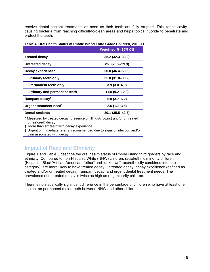receive dental sealant treatments as soon as their teeth are fully erupted. This keeps cavitycausing bacteria from reaching difficult-to-clean areas and helps topical fluoride to penetrate and protect the teeth.

|                                                                                                                                               | Weighted % (95% CI) |  |
|-----------------------------------------------------------------------------------------------------------------------------------------------|---------------------|--|
| <b>Treated decay</b>                                                                                                                          | $35.2(32.3 - 38.2)$ |  |
| <b>Untreated decay</b>                                                                                                                        | $26.3(23.2 - 29.3)$ |  |
| Decay experience*                                                                                                                             | 50.0 (46.4-53.5)    |  |
| <b>Primary teeth only</b>                                                                                                                     | 35.0 (31.8-38.2)    |  |
| <b>Permanent teeth only</b>                                                                                                                   | $3.9(3.0-4.9)$      |  |
| <b>Primary and permanent teeth</b>                                                                                                            | 11.0 (9.2–12.8)     |  |
| Rampant decay <sup>†</sup>                                                                                                                    | $5.0(3.7-6.2)$      |  |
| Urgent treatment need <sup>1</sup>                                                                                                            | $2.6(1.7-3.5)$      |  |
| <b>Dental sealants</b>                                                                                                                        | 39.1 (35.5–42.7)    |  |
| * Measured by treated decay (presence of fillings/crowns) and/or untreated<br>(unrestored) decay<br>More than six teeth with decay experience |                     |  |

#### **Table 4. Oral Health Status of Rhode Island Third Grade Children, 2010-11**

¶ Urgent or immediate referral recommended due to signs of infection and/or pain associated with decay

### **Impact of Race and Ethnicity**

Figure 1 and Table 5 describe the oral health status of Rhode Island third graders by race and ethnicity. Compared to non-Hispanic White (NHW) children, racial/ethnic minority children (Hispanic, Black/African American, "other" and "unknown" race/ethnicity combined into one category), are more likely to have treated decay, untreated decay, decay experience (defined as treated and/or untreated decay), rampant decay, and urgent dental treatment needs. The prevalence of untreated decay is twice as high among minority children.

There is no statistically significant difference in the percentage of children who have at least one sealant on permanent molar teeth between NHW and other children.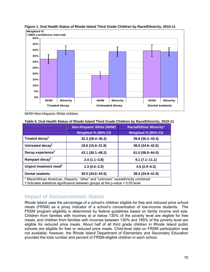

**Figure 1. Oral Health Status of Rhode Island Third Grade Children by Race/Ethnicity, 2010-11**

NHW=Non-Hispanic White children

| Table 5. Oral Health Status of Rhode Island Third Grade Children by Race/Ethnicity, 2010-11 |  |  |
|---------------------------------------------------------------------------------------------|--|--|
|                                                                                             |  |  |

|                                                                                                                                                                              | <b>Non-Hispanic White (NHW)</b> | <b>Racial/Ethnic Minority*</b> |  |
|------------------------------------------------------------------------------------------------------------------------------------------------------------------------------|---------------------------------|--------------------------------|--|
|                                                                                                                                                                              | Weighted % (95% CI)             | Weighted % (95% CI)            |  |
| Treated decay <sup>t</sup>                                                                                                                                                   | $32.3(28.4 - 36.3)$             | 39.8 (36.2-43.4)               |  |
| Untreated decay <sup>t</sup>                                                                                                                                                 | 18.6 (15.6–21.8)                | 38.6 (34.6-42.6)               |  |
| Decay experience <sup>†</sup>                                                                                                                                                | 43.1 (38.1-48.2)                | $61.0(58.0 - 64.0)$            |  |
| Rampant decay <sup>t</sup>                                                                                                                                                   | $2.4(1.1-3.8)$                  | $9.1(7.1 - 11.1)$              |  |
| Urgent treatment need <sup>†</sup>                                                                                                                                           | $1.3(0.6 - 2.0)$                | $4.6(2.9 - 6.3)$               |  |
| <b>Dental sealants</b>                                                                                                                                                       | 39.5 (34.6-44.5)                | 38.4 (34.9-41.9)               |  |
| * Black/African American, Hispanic, "other" and "unknown" race/ethnicity combined<br>$\dagger$ Indicates statistical significance between groups at the p-value = 0.05 level |                                 |                                |  |

### **Impact of Socioeconomic Status**

Rhode Island uses the percentage of a school's children eligible for free and reduced price school meals (FRSM) as a proxy indicator of a school's concentration of low-income students. The FRSM program eligibility is determined by federal guidelines based on family income and size. Children from families with incomes at or below 130% of the poverty level are eligible for free meals, and children from families with incomes between 130% and 185% of the poverty level are eligible for reduced price meals. About half of all third grade children in Rhode Island public schools are eligible for free or reduced price meals. Child-level data on FRSM participation was not available; however, the Rhode Island Department of Elementary and Secondary Education provided the total number and percent of FRSM-eligible children in each school.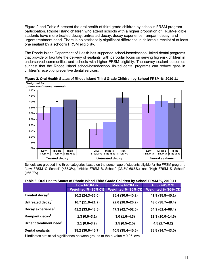Figure 2 and Table 6 present the oral health of third grade children by school's FRSM program participation. Rhode Island children who attend schools with a higher proportion of FRSM-eligible students have more treated decay, untreated decay, decay experience, rampant decay, and urgent treatment need. There is no statistically significant difference in children's receipt of at least one sealant by a school's FRSM eligibility.

The Rhode Island Department of Health has supported school-based/school linked dental programs that provide or facilitate the delivery of sealants, with particular focus on serving high-risk children in underserved communities and schools with higher FRSM eligibility. The survey sealant outcomes suggest that the Rhode Island school-based/school linked dental programs can reduce gaps in children's receipt of preventive dental services.



**Figure 2. Oral Health Status of Rhode Island Third Grade Children by School FRSM %, 2010-11** 

Schools are grouped into three categories based on the percentage of students eligible for the FRSM program: "Low FRSM % School" (<33.3%), "Middle FRSM % School" (33.3%-66.6%), and "High FRSM % School" (≥66.7%).

#### **Table 6. Oral Health Status of Rhode Island Third Grade Children by School FRSM %, 2010-11**

|                                                                                 | Low FRSM %          | <b>Middle FRSM %</b> | <b>High FRSM %</b>  |  |
|---------------------------------------------------------------------------------|---------------------|----------------------|---------------------|--|
|                                                                                 | Weighted % (95% CI) | Weighted % (95% CI)  | Weighted % (95% CI) |  |
| Treated decay <sup>t</sup>                                                      | $30.2(24.3 - 36.0)$ | 35.4 (30.6-40.2)     | 41.9 (38.8-45.1)    |  |
| Untreated decay <sup>†</sup>                                                    | 16.7 (11.6–21.7)    | 22.6 (18.9-26.2)     | 43.6 (38.7-48.4)    |  |
| Decay experience <sup>t</sup>                                                   | 41.2 (33.9 - 48.5)  | 47.3 (42.7-52.0)     | 64.9 (61.4-68.4)    |  |
| Rampant decay <sup>†</sup>                                                      | $1.3(0.0-3.1)$      | $3.0(1.6-4.3)$       | 12.3 (10.0-14.6)    |  |
| Urgent treatment need <sup>†</sup>                                              | $2.1(0.6-3.7)$      | $1.5(0.5-2.5)$       | $4.5(2.7-6.2)$      |  |
| <b>Dental sealants</b>                                                          | 38.2 (30.6-45.7)    | 40.5 (35.4 - 45.5)   | 38.8 (34.7-43.0)    |  |
| t Indicates statistical significance between groups at the p-value = 0.05 level |                     |                      |                     |  |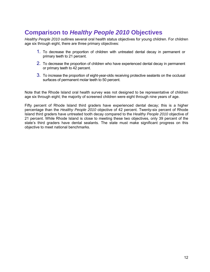# <span id="page-12-0"></span>**Comparison to** *Healthy People 2010* **Objectives**

*Healthy People 2010* outlines several oral health status objectives for young children. For children age six through eight, there are three primary objectives:

- 1. To decrease the proportion of children with untreated dental decay in permanent or primary teeth to 21 percent.
- 2. To decrease the proportion of children who have experienced dental decay in permanent or primary teeth to 42 percent.
- 3. To increase the proportion of eight-year-olds receiving protective sealants on the occlusal surfaces of permanent molar teeth to 50 percent.

Note that the Rhode Island oral health survey was not designed to be representative of children age six through eight; the majority of screened children were eight through nine years of age.

Fifty percent of Rhode Island third graders have experienced dental decay; this is a higher percentage than the *Healthy People 2010* objective of 42 percent. Twenty-six percent of Rhode Island third graders have untreated tooth decay compared to the *Healthy People 2010* objective of 21 percent. While Rhode Island is close to meeting these two objectives, only 39 percent of the state's third graders have dental sealants. The state must make significant progress on this objective to meet national benchmarks.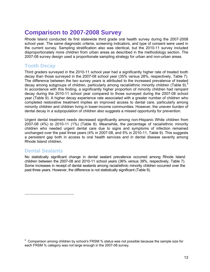# <span id="page-13-0"></span>**Comparison to 2007-2008 Survey**

Rhode Island conducted its first statewide third grade oral health survey during the 2007-2008 school year. The same diagnostic criteria, screening indicators, and type of consent were used in the current survey. Sampling stratification also was identical, but the 2010-11 survey included disproportionately more children from urban areas as described in the methodology section. The 2007-08 survey design used a proportionate sampling strategy for urban and non-urban areas.

## **Tooth Decay**

Third graders surveyed in the 2010-11 school year had a significantly higher rate of treated tooth decay than those surveyed in the 2007-08 school year (35% versus 28%, respectively, Table 7). The difference between the two survey years is attributed to the increased prevalence of treated decay among subgroups of children, particularly among racial/ethnic minority children (Table 9).<sup>5</sup> In accordance with this finding, a significantly higher proportion of minority children had rampant decay during the 2010-11 school year compared to those surveyed during the 2007-08 school year (Table 9). A higher decay experience rate associated with a greater number of children who completed restorative treatment implies an improved access to dental care, particularly among minority children and children living in lower-income communities. However, the uneven burden of dental decay in a subpopulation of children also suggests a missed opportunity for prevention.

Urgent dental treatment needs decreased significantly among non-Hispanic White children from 2007-08 (4%) to 2010-11 (1%) (Table 8). Meanwhile, the percentage of racial/ethnic minority children who needed urgent dental care due to signs and symptoms of infection remained unchanged over the past three years (4% in 2007-08, and 5% in 2010-11, Table 9). This suggests a persistent gap both in access to oral health services and in dental disease severity among Rhode Island children.

### **Dental Sealants**

No statistically significant change in dental sealant prevalence occurred among Rhode Island children between the 2007-08 and 2010-11 school years (36% versus 39%, respectively, Table 7). Some increases in receipt of dental sealants among racial/ethnic minority children occurred over the past three years. However, the difference is not statistically significant (Table 9).

<span id="page-13-1"></span><sup>&</sup>lt;sup>5</sup> Comparison among children by school's FRSM % status was not possible because the sample size for each FRSM % category was not large enough in the 2007-08 survey.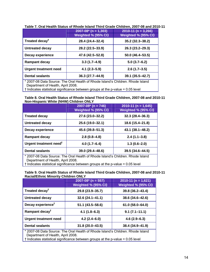|                                                                                 | $2007-08$ <sup>*</sup> (n = 1,303) | $2010-11$ (n = 3,266) |  |  |
|---------------------------------------------------------------------------------|------------------------------------|-----------------------|--|--|
|                                                                                 | Weighted % (95% CI)                | Weighted % (95% CI)   |  |  |
| Treated decay <sup>t</sup>                                                      | 28.4 (24.4-32.4)                   | 35.2 (32.3–38.2)      |  |  |
| <b>Untreated decay</b>                                                          | 28.2 (22.5-33.9)                   | 26.3 (23.2-29.3)      |  |  |
| Decay experience                                                                | 47.6 (42.5-52.8)                   | 50.0 (46.4-53.5)      |  |  |
| <b>Rampant decay</b>                                                            | $3.3(1.7-4.9)$                     | $5.0(3.7-6.2)$        |  |  |
| <b>Urgent treatment need</b>                                                    | $4.1(2.3 - 5.9)$                   | $2.6(1.7-3.5)$        |  |  |
| <b>Dental sealants</b>                                                          | 36.3 (27.7-44.9)                   | $39.1(35.5 - 42.7)$   |  |  |
| * 2007-08 Data Source: The Oral Health of Rhode Island's Children. Rhode Island |                                    |                       |  |  |

#### **Table 7. Oral Health Status of Rhode Island Third Grade Children, 2007-08 and 2010-11**

\* 2007-08 Data Source: The Oral Health of Rhode Island's Children. Rhode Island Department of Health, April 2008.

† Indicates statistical significance between groups at the p-value = 0.05 level

#### **Table 8. Oral Health Status of Rhode Island Third Grade Children, 2007-08 and 2010-11 Non-Hispanic White (NHW) Children ONLY**

|                                                                                                                      | $2007 - 08$ <sup>*</sup> (n = 746) | $2010-11$ (n = 1,645) |  |
|----------------------------------------------------------------------------------------------------------------------|------------------------------------|-----------------------|--|
|                                                                                                                      | Weighted % (95% CI)                | Weighted % (95% CI)   |  |
| <b>Treated decay</b>                                                                                                 | 27.6 (23.0-32.2)                   | $32.3(28.4 - 36.3)$   |  |
| Untreated decay                                                                                                      | 25.6 (19.0-32.1)                   | 18.6 (15.4-21.8)      |  |
| Decay experience                                                                                                     | 45.6 (39.8-51.3)                   | 43.1 (38.1-48.2)      |  |
| <b>Rampant decay</b>                                                                                                 | $2.8(0.8-4.8)$                     | $2.4(1.1-3.8)$        |  |
| Urgent treatment need <sup>†</sup>                                                                                   | $4.0(1.7 - 6.4)$                   | $1.3(0.6 - 2.0)$      |  |
| <b>Dental sealants</b>                                                                                               | 39.0 (29.4-48.6)                   | $39.5(34.6 - 44.5)$   |  |
| * 2007-08 Data Source: The Oral Health of Rhode Island's Children. Rhode Island<br>Department of Health, April 2008. |                                    |                       |  |

 $\vert$  † Indicates statistical significance between groups at the p-value = 0.05 level

|                                             | Table 9. Oral Health Status of Rhode Island Third Grade Children, 2007-08 and 2010-11 |  |  |
|---------------------------------------------|---------------------------------------------------------------------------------------|--|--|
| <b>Racial/Ethnic Minority Children ONLY</b> |                                                                                       |  |  |

|                                                                                         | $2007 - 08 \times (n = 557)$               | $2010-11$ (n = 1,621) |  |  |
|-----------------------------------------------------------------------------------------|--------------------------------------------|-----------------------|--|--|
|                                                                                         | Weighted % (95% CI)                        | Weighted % (95% CI)   |  |  |
| Treated decay <sup>t</sup>                                                              | 29.8 (23.9-35.7)                           | 39.8 (36.2-43.4)      |  |  |
| <b>Untreated decay</b>                                                                  | 32.6 (24.1-41.1)<br>38.6 (34.6-42.6)       |                       |  |  |
| Decay experience <sup>†</sup>                                                           | $51.1(43.5 - 58.6)$<br>$61.0(58.0 - 64.0)$ |                       |  |  |
| Rampant decay <sup>†</sup>                                                              | $4.1(1.8-6.3)$                             | $9.1(7.1-11.1)$       |  |  |
| <b>Urgent treatment need</b>                                                            | $4.6(2.9 - 6.3)$<br>$4.2(2.4 - 6.0)$       |                       |  |  |
| <b>Dental sealants</b>                                                                  | 31.8 (20.0-43.5)                           | 38.4 (34.9-41.9)      |  |  |
| * 2007-08 Data Source: The Oral Health of Rhode Island's Children. Rhode Island         |                                            |                       |  |  |
| Department of Health, April 2008.                                                       |                                            |                       |  |  |
| $\dagger$ Indicates statistical significance between groups at the p-value = 0.05 level |                                            |                       |  |  |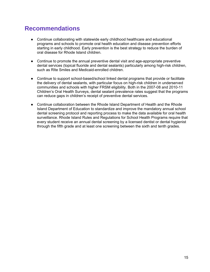# <span id="page-15-0"></span>**Recommendations**

- Continue collaborating with statewide early childhood healthcare and educational programs and schools to promote oral health education and disease prevention efforts starting in early childhood. Early prevention is the best strategy to reduce the burden of oral disease for Rhode Island children.
- Continue to promote the annual preventive dental visit and age-appropriate preventive dental services (topical fluoride and dental sealants) particularly among high-risk children, such as RIte Smiles and Medicaid-enrolled children.
- Continue to support school-based/school linked dental programs that provide or facilitate the delivery of dental sealants, with particular focus on high-risk children in underserved communities and schools with higher FRSM eligibility. Both in the 2007-08 and 2010-11 Children's Oral Health Surveys, dental sealant prevalence rates suggest that the programs can reduce gaps in children's receipt of preventive dental services.
- Continue collaboration between the Rhode Island Department of Health and the Rhode Island Department of Education to standardize and improve the mandatory annual school dental screening protocol and reporting process to make the data available for oral health surveillance. Rhode Island Rules and Regulations for School Health Programs require that every student receive an annual dental screening by a licensed dentist or dental hygienist through the fifth grade and at least one screening between the sixth and tenth grades.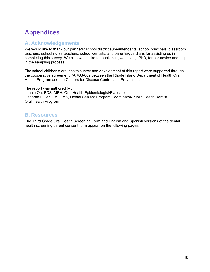# <span id="page-16-0"></span>**Appendices**

### **A. Acknowledgements**

We would like to thank our partners: school district superintendents, school principals, classroom teachers, school nurse teachers, school dentists, and parents/guardians for assisting us in completing this survey. We also would like to thank Yongwen Jiang, PhD, for her advice and help in the sampling process.

The school children's oral health survey and development of this report were supported through the cooperative agreement PA #08-802 between the Rhode Island Department of Health Oral Health Program and the Centers for Disease Control and Prevention.

The report was authored by: Junhie Oh, BDS, MPH, Oral Health Epidemiologist/Evaluator Deborah Fuller, DMD, MS, Dental Sealant Program Coordinator/Public Health Dentist Oral Health Program

### **B. Resources**

The Third Grade Oral Health Screening Form and English and Spanish versions of the dental health screening parent consent form appear on the following pages.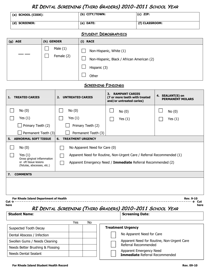# **RI DENTAL SCREENING (THIRD GRADERS) 2010-2011 SCHOOL YEAR**

| (a)SCHOOL (CODE): | (b) CITY/TOWN: | $(c)$ ZIP:     |
|-------------------|----------------|----------------|
| (d) SCREENER:     | (e) DATE:      | (f) CLASSROOM: |

#### **STUDENT DEMOGRAPHICS**

| $(g)$ AGE | (h) GENDER               | (i) RACE                                                                                       |
|-----------|--------------------------|------------------------------------------------------------------------------------------------|
|           | Male $(1)$<br>Female (2) | Non-Hispanic, White (1)<br>Non-Hispanic, Black / African American (2)<br>Hispanic (3)<br>Other |

#### **SCREENING FINDINGS**

| <b>TREATED CARIES</b><br>1.                                                                 | <b>UNTREATED CARIES</b><br>2.                                                                          | <b>RAMPANT CARIES</b><br>3.<br>(7 or more teeth with treated<br>and/or untreated caries) | 4. SEALANT(S) on<br><b>PERMANENT MOLARS</b> |
|---------------------------------------------------------------------------------------------|--------------------------------------------------------------------------------------------------------|------------------------------------------------------------------------------------------|---------------------------------------------|
| No(0)                                                                                       | No(0)                                                                                                  | No(0)                                                                                    | $\mathbf{I}$<br>No(0)                       |
| Yes $(1)$                                                                                   | Yes $(1)$                                                                                              | Yes $(1)$                                                                                | Yes $(1)$                                   |
| Primary Teeth (2)                                                                           | Primary Teeth (2)                                                                                      |                                                                                          |                                             |
| Permanent Teeth (3)                                                                         | Permanent Teeth (3)                                                                                    |                                                                                          |                                             |
| <b>ABNORMAL SOFT TISSUE</b><br>5.                                                           | <b>TREATMENT URGENCY</b><br>6.                                                                         |                                                                                          |                                             |
| No(0)<br>Yes $(1)$<br>Gross gingival inflammation<br>or oft tissue lesions                  | No Apparent Need for Care (0)<br>Apparent Need for Routine, Non-Urgent Care / Referral Recommended (1) |                                                                                          |                                             |
| Apparent Emergency Need / Immediate Referral Recommended (2)<br>(fistulas, abscesses, etc.) |                                                                                                        |                                                                                          |                                             |
| 7.<br><b>COMMENTS</b>                                                                       |                                                                                                        |                                                                                          |                                             |
|                                                                                             |                                                                                                        |                                                                                          |                                             |
| For Rhode Island Department of Health<br>Cut $\rightarrow$<br>here                          |                                                                                                        |                                                                                          | <b>Rev. 9-10</b><br>Cut<br>here             |

### **RI DENTAL SCREENING (THIRD GRADERS) 2010-2011 SCHOOL YEAR**

| <b>Student Name:</b>             |     |     | <b>Screening Date:</b>                                    |
|----------------------------------|-----|-----|-----------------------------------------------------------|
|                                  | Yes | No. |                                                           |
| Suspected Tooth Decay            |     |     | <b>Treatment Urgency</b>                                  |
| Dental Abscess / Infection       |     |     | No Apparent Need for Care                                 |
| Swollen Gums / Needs Cleaning    |     |     | Apparent Need for Routine, Non-Urgent Care                |
| Needs Better Brushing & Flossing |     |     | Referral Recommended                                      |
| <b>Needs Dental Sealant</b>      |     |     | Apparent Emergency Need<br>Immediate Referral Recommended |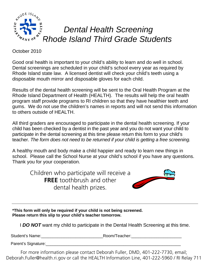

October 2010

Good oral health is important to your child's ability to learn and do well in school. Dental screenings are scheduled in your child's school every year as required by Rhode Island state law. A licensed dentist will check your child's teeth using a disposable mouth mirror and disposable gloves for each child.

Results of the dental health screening will be sent to the Oral Health Program at the Rhode Island Department of Health (HEALTH). The results will help the oral health program staff provide programs to RI children so that they have healthier teeth and gums. We do not use the children's names in reports and will not send this information to others outside of HEALTH.

All third graders are encouraged to participate in the dental health screening. If your child has been checked by a dentist in the past year and you do not want your child to participate in the dental screening at this time please return this form to your child's teacher. *The form does not need to be returned if your child is getting a free screening.* 

A healthy mouth and body make a child happier and ready to learn new things in school. Please call the School Nurse at your child's school if you have any questions. Thank you for your cooperation.

Children who participate will receive a **FREE** toothbrush and other dental health prizes.



**\*This form will only be required if your child is not being screened. Please return this slip to your child's teacher tomorrow.** 

I *DO NOT* want my child to participate in the Dental Health Screening at this time.

Student's Name: etc. All and the Student's Name: etc. All and the Room/Teacher:

Parent's Signature:

For more information please contact Deborah Fuller, DMD, 401-222-7730, email; Deborah.Fuller@health.ri.gov or call the HEALTH Information Line, 401-222-5960 / RI Relay 711